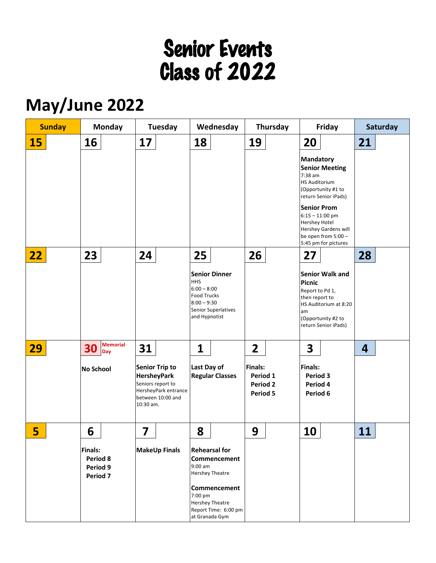# Senior Events Class of 2022

## **May/June 2022**

| <b>Sunday</b> | <b>Monday</b>                                                 |                        | Tuesday                                                                                                                    |  | Wednesday                                                                                                                                                                         |                                             | Thursday                                           |  | Friday                                                                                                          |                                                                                                                                            | Saturday |  |
|---------------|---------------------------------------------------------------|------------------------|----------------------------------------------------------------------------------------------------------------------------|--|-----------------------------------------------------------------------------------------------------------------------------------------------------------------------------------|---------------------------------------------|----------------------------------------------------|--|-----------------------------------------------------------------------------------------------------------------|--------------------------------------------------------------------------------------------------------------------------------------------|----------|--|
| <b>15</b>     | 16                                                            |                        | 17                                                                                                                         |  | 18                                                                                                                                                                                |                                             | 19                                                 |  | 20                                                                                                              |                                                                                                                                            | 21       |  |
|               |                                                               |                        |                                                                                                                            |  |                                                                                                                                                                                   |                                             |                                                    |  | <b>Mandatory</b><br>7:38 am<br><b>HS Auditorium</b><br><b>Senior Prom</b><br>$6:15 - 11:00$ pm<br>Hershey Hotel | <b>Senior Meeting</b><br>(Opportunity #1 to<br>return Senior iPads)<br>Hershey Gardens will<br>be open from 5:00 -<br>5:45 pm for pictures |          |  |
| 22            | 23                                                            |                        | 24                                                                                                                         |  | 25                                                                                                                                                                                |                                             | 26                                                 |  | 27                                                                                                              |                                                                                                                                            | 28       |  |
|               |                                                               |                        |                                                                                                                            |  | <b>HHS</b><br>$6:00 - 8:00$<br><b>Food Trucks</b><br>$8:00 - 9:30$<br>and Hypnotist                                                                                               | <b>Senior Dinner</b><br>Senior Superlatives |                                                    |  | <b>Picnic</b><br>Report to Pd 1,<br>then report to<br>am                                                        | <b>Senior Walk and</b><br>HS Auditorium at 8:20<br>(Opportunity #2 to<br>return Senior iPads)                                              |          |  |
| 29            | 30                                                            | <b>Memorial</b><br>Day | 31                                                                                                                         |  | $\mathbf{1}$                                                                                                                                                                      |                                             | $\overline{2}$                                     |  | 3                                                                                                               |                                                                                                                                            | 4        |  |
|               | <b>No School</b>                                              |                        | <b>Senior Trip to</b><br><b>HersheyPark</b><br>Seniors report to<br>HersheyPark entrance<br>between 10:00 and<br>10:30 am. |  | Last Day of<br><b>Regular Classes</b>                                                                                                                                             |                                             | <b>Finals:</b><br>Period 1<br>Period 2<br>Period 5 |  | <b>Finals:</b><br>Period 3<br>Period 4<br>Period 6                                                              |                                                                                                                                            |          |  |
| 5             | 6                                                             |                        | 7                                                                                                                          |  | 8                                                                                                                                                                                 |                                             | 9                                                  |  | 10                                                                                                              |                                                                                                                                            | 11       |  |
|               | <b>Finals:</b><br>Period 8<br>Period 9<br>Period <sub>7</sub> |                        | <b>MakeUp Finals</b>                                                                                                       |  | <b>Rehearsal for</b><br>Commencement<br>$9:00$ am<br><b>Hershey Theatre</b><br><b>Commencement</b><br>7:00 pm<br><b>Hershey Theatre</b><br>Report Time: 6:00 pm<br>at Granada Gym |                                             |                                                    |  |                                                                                                                 |                                                                                                                                            |          |  |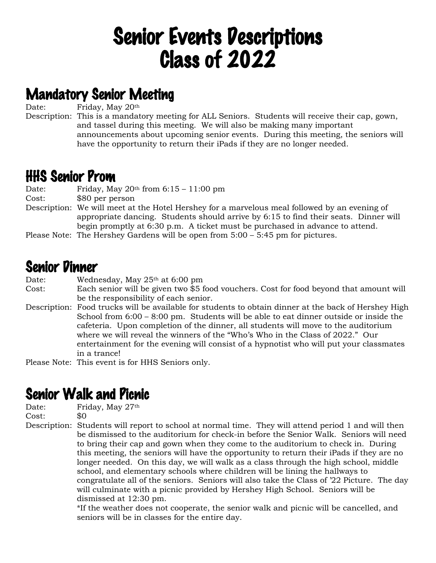## Senior Events Descriptions Class of 2022

### Mandatory Senior Meeting

Date: Friday, May 20<sup>th</sup>

Description: This is a mandatory meeting for ALL Seniors. Students will receive their cap, gown, and tassel during this meeting. We will also be making many important announcements about upcoming senior events. During this meeting, the seniors will have the opportunity to return their iPads if they are no longer needed.

### HHS Senior Prom

Date: Friday, May  $20<sup>th</sup>$  from  $6:15 - 11:00$  pm

Cost: \$80 per person

Description: We will meet at the Hotel Hershey for a marvelous meal followed by an evening of appropriate dancing. Students should arrive by 6:15 to find their seats. Dinner will begin promptly at 6:30 p.m. A ticket must be purchased in advance to attend.

Please Note: The Hershey Gardens will be open from 5:00 – 5:45 pm for pictures.

### Senior Dinner

Date: Wednesday, May 25<sup>th</sup> at 6:00 pm Cost: Each senior will be given two \$5 food vouchers. Cost for food beyond that amount will be the responsibility of each senior. Description: Food trucks will be available for students to obtain dinner at the back of Hershey High School from 6:00 – 8:00 pm. Students will be able to eat dinner outside or inside the cafeteria. Upon completion of the dinner, all students will move to the auditorium where we will reveal the winners of the "Who's Who in the Class of 2022." Our entertainment for the evening will consist of a hypnotist who will put your classmates in a trance!

Please Note: This event is for HHS Seniors only.

### Senior Walk and Picnic

Date: Friday, May 27<sup>th</sup>

Cost: \$0

Description: Students will report to school at normal time. They will attend period 1 and will then be dismissed to the auditorium for check-in before the Senior Walk. Seniors will need to bring their cap and gown when they come to the auditorium to check in. During this meeting, the seniors will have the opportunity to return their iPads if they are no longer needed. On this day, we will walk as a class through the high school, middle school, and elementary schools where children will be lining the hallways to congratulate all of the seniors. Seniors will also take the Class of '22 Picture. The day will culminate with a picnic provided by Hershey High School. Seniors will be dismissed at 12:30 pm.

\*If the weather does not cooperate, the senior walk and picnic will be cancelled, and seniors will be in classes for the entire day.